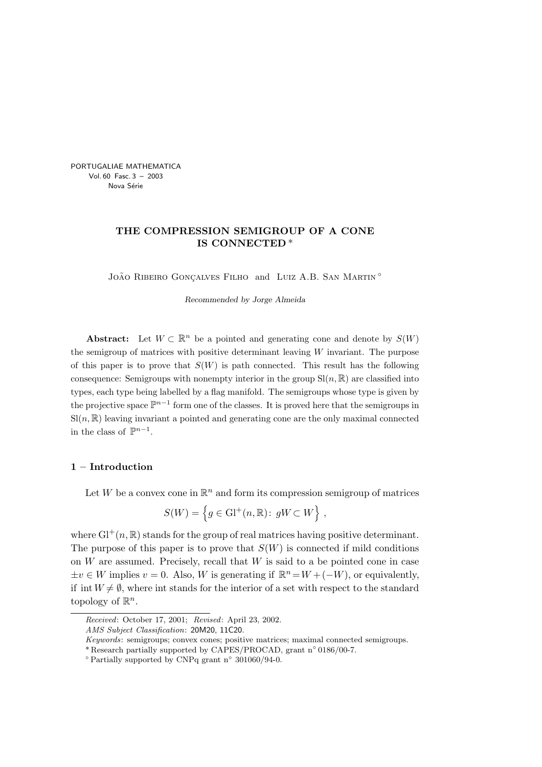PORTUGALIAE MATHEMATICA Vol. 60 Fasc. 3 – 2003 Nova Série

# THE COMPRESSION SEMIGROUP OF A CONE IS CONNECTED \*

JOÃO RIBEIRO GONÇALVES FILHO and LUIZ A.B. SAN MARTIN <sup>°</sup>

Recommended by Jorge Almeida

Abstract: Let  $W \subset \mathbb{R}^n$  be a pointed and generating cone and denote by  $S(W)$ the semigroup of matrices with positive determinant leaving  $W$  invariant. The purpose of this paper is to prove that  $S(W)$  is path connected. This result has the following consequence: Semigroups with nonempty interior in the group  $\text{Sl}(n,\mathbb{R})$  are classified into types, each type being labelled by a flag manifold. The semigroups whose type is given by the projective space  $\mathbb{P}^{n-1}$  form one of the classes. It is proved here that the semigroups in  $\mathrm{Sl}(n,\mathbb{R})$  leaving invariant a pointed and generating cone are the only maximal connected in the class of  $\mathbb{P}^{n-1}$ .

# 1 – Introduction

Let W be a convex cone in  $\mathbb{R}^n$  and form its compression semigroup of matrices

$$
S(W) = \left\{ g \in \mathrm{Gl}^+(n, \mathbb{R}) \colon gW \subset W \right\},\
$$

where  $\mathrm{Gl}^+(n,\mathbb{R})$  stands for the group of real matrices having positive determinant. The purpose of this paper is to prove that  $S(W)$  is connected if mild conditions on  $W$  are assumed. Precisely, recall that  $W$  is said to a be pointed cone in case  $\pm v \in W$  implies  $v = 0$ . Also, W is generating if  $\mathbb{R}^n = W + (-W)$ , or equivalently, if int  $W \neq \emptyset$ , where int stands for the interior of a set with respect to the standard topology of  $\mathbb{R}^n$ .

Received: October 17, 2001; Revised: April 23, 2002.

AMS Subject Classification: 20M20, 11C20.

Keywords: semigroups; convex cones; positive matrices; maximal connected semigroups.

<sup>\*</sup> Research partially supported by CAPES/PROCAD, grant n ◦ 0186/00-7.

<sup>◦</sup> Partially supported by CNPq grant n ◦ 301060/94-0.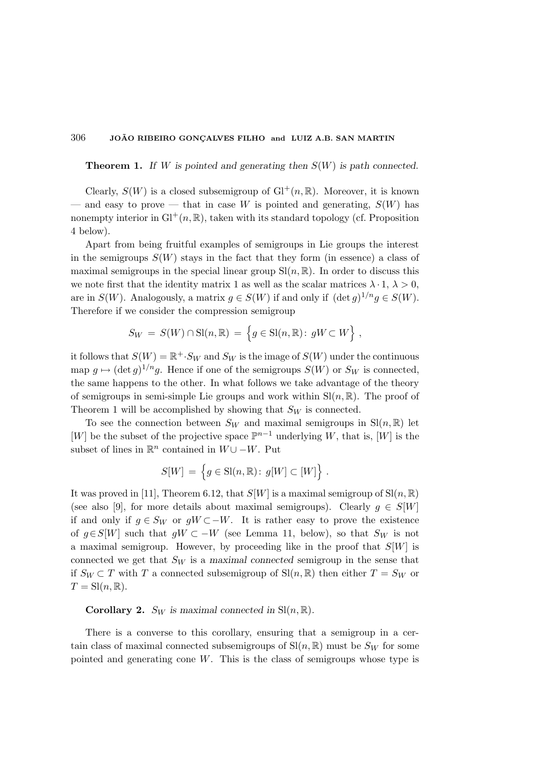**Theorem 1.** If W is pointed and generating then  $S(W)$  is path connected.

Clearly,  $S(W)$  is a closed subsemigroup of  $Gl^+(n,\mathbb{R})$ . Moreover, it is known and easy to prove — that in case W is pointed and generating,  $S(W)$  has nonempty interior in  $\mathrm{Gl}^+(n,\mathbb{R})$ , taken with its standard topology (cf. Proposition 4 below).

Apart from being fruitful examples of semigroups in Lie groups the interest in the semigroups  $S(W)$  stays in the fact that they form (in essence) a class of maximal semigroups in the special linear group  $\text{Sl}(n,\mathbb{R})$ . In order to discuss this we note first that the identity matrix 1 as well as the scalar matrices  $\lambda \cdot 1$ ,  $\lambda > 0$ , are in  $S(W)$ . Analogously, a matrix  $g \in S(W)$  if and only if  $(\det g)^{1/n} g \in S(W)$ . Therefore if we consider the compression semigroup

$$
S_W = S(W) \cap \mathrm{Sl}(n, \mathbb{R}) = \left\{ g \in \mathrm{Sl}(n, \mathbb{R}) : gW \subset W \right\},\
$$

it follows that  $S(W) = \mathbb{R}^+ \cdot S_W$  and  $S_W$  is the image of  $S(W)$  under the continuous map  $g \mapsto (\det g)^{1/n} g$ . Hence if one of the semigroups  $S(W)$  or  $S_W$  is connected, the same happens to the other. In what follows we take advantage of the theory of semigroups in semi-simple Lie groups and work within  $\text{Sl}(n,\mathbb{R})$ . The proof of Theorem 1 will be accomplished by showing that  $S_W$  is connected.

To see the connection between  $S_W$  and maximal semigroups in  $\text{Sl}(n,\mathbb{R})$  let [W] be the subset of the projective space  $\mathbb{P}^{n-1}$  underlying W, that is, [W] is the subset of lines in  $\mathbb{R}^n$  contained in  $W \cup -W$ . Put

$$
S[W] = \left\{ g \in \text{Sl}(n, \mathbb{R}) \colon g[W] \subset [W] \right\}.
$$

It was proved in [11], Theorem 6.12, that  $S[W]$  is a maximal semigroup of  $Sl(n, \mathbb{R})$ (see also [9], for more details about maximal semigroups). Clearly  $g \in S[W]$ if and only if  $g \in S_W$  or  $gW ⊂ -W$ . It is rather easy to prove the existence of  $g \in S[W]$  such that  $gW \subset -W$  (see Lemma 11, below), so that  $S_W$  is not a maximal semigroup. However, by proceeding like in the proof that  $S[W]$  is connected we get that  $S_W$  is a maximal connected semigroup in the sense that if  $S_W \subset T$  with T a connected subsemigroup of  $\text{Sl}(n, \mathbb{R})$  then either  $T = S_W$  or  $T = Sl(n, \mathbb{R}).$ 

**Corollary 2.**  $S_W$  is maximal connected in  $\text{Sl}(n,\mathbb{R})$ .

There is a converse to this corollary, ensuring that a semigroup in a certain class of maximal connected subsemigroups of  $\text{Sl}(n,\mathbb{R})$  must be  $S_W$  for some pointed and generating cone  $W$ . This is the class of semigroups whose type is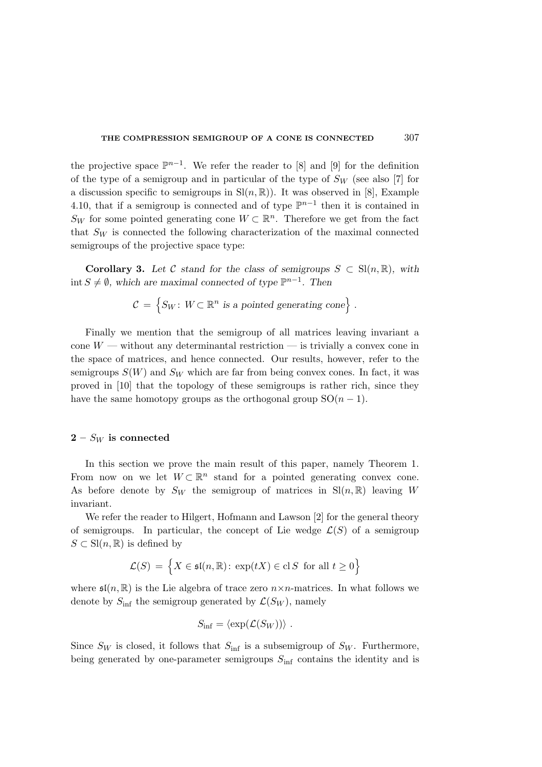the projective space  $\mathbb{P}^{n-1}$ . We refer the reader to [8] and [9] for the definition of the type of a semigroup and in particular of the type of  $S_W$  (see also [7] for a discussion specific to semigroups in  $\text{Sl}(n,\mathbb{R})$ ). It was observed in [8], Example 4.10, that if a semigroup is connected and of type  $\mathbb{P}^{n-1}$  then it is contained in  $S_W$  for some pointed generating cone  $W \subset \mathbb{R}^n$ . Therefore we get from the fact that  $S_W$  is connected the following characterization of the maximal connected semigroups of the projective space type:

**Corollary 3.** Let C stand for the class of semigroups  $S \subset Sl(n, \mathbb{R})$ , with int  $S \neq \emptyset$ , which are maximal connected of type  $\mathbb{P}^{n-1}$ . Then

$$
\mathcal{C} = \{ S_W \colon W \subset \mathbb{R}^n \text{ is a pointed generating cone} \} .
$$

Finally we mention that the semigroup of all matrices leaving invariant a cone  $W$  — without any determinantal restriction — is trivially a convex cone in the space of matrices, and hence connected. Our results, however, refer to the semigroups  $S(W)$  and  $S_W$  which are far from being convex cones. In fact, it was proved in [10] that the topology of these semigroups is rather rich, since they have the same homotopy groups as the orthogonal group  $SO(n-1)$ .

### $2-S_W$  is connected

In this section we prove the main result of this paper, namely Theorem 1. From now on we let  $W \subset \mathbb{R}^n$  stand for a pointed generating convex cone. As before denote by  $S_W$  the semigroup of matrices in  $\text{Sl}(n,\mathbb{R})$  leaving W invariant.

We refer the reader to Hilgert, Hofmann and Lawson [2] for the general theory of semigroups. In particular, the concept of Lie wedge  $\mathcal{L}(S)$  of a semigroup  $S \subset \mathrm{Sl}(n,\mathbb{R})$  is defined by

$$
\mathcal{L}(S) = \left\{ X \in \mathfrak{sl}(n, \mathbb{R}) \colon \exp(tX) \in \text{cl } S \text{ for all } t \ge 0 \right\}
$$

where  $\mathfrak{sl}(n,\mathbb{R})$  is the Lie algebra of trace zero  $n \times n$ -matrices. In what follows we denote by  $S_{\text{inf}}$  the semigroup generated by  $\mathcal{L}(S_W)$ , namely

$$
S_{\inf} = \langle \exp(\mathcal{L}(S_W)) \rangle \; .
$$

Since  $S_W$  is closed, it follows that  $S_{\text{inf}}$  is a subsemigroup of  $S_W$ . Furthermore, being generated by one-parameter semigroups  $S_{\text{inf}}$  contains the identity and is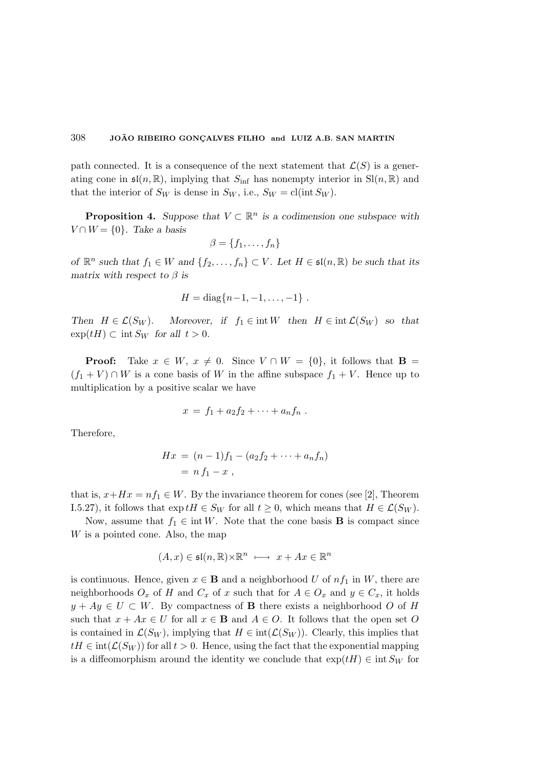path connected. It is a consequence of the next statement that  $\mathcal{L}(S)$  is a generating cone in  $\mathfrak{sl}(n,\mathbb{R})$ , implying that  $S_{\text{inf}}$  has nonempty interior in  $\text{Sl}(n,\mathbb{R})$  and that the interior of  $S_W$  is dense in  $S_W$ , i.e.,  $S_W = \text{cl}(\text{int } S_W)$ .

**Proposition 4.** Suppose that  $V \subset \mathbb{R}^n$  is a codimension one subspace with  $V \cap W = \{0\}$ . Take a basis

$$
\beta = \{f_1, \ldots, f_n\}
$$

of  $\mathbb{R}^n$  such that  $f_1 \in W$  and  $\{f_2, \ldots, f_n\} \subset V$ . Let  $H \in \mathfrak{sl}(n, \mathbb{R})$  be such that its matrix with respect to  $\beta$  is

$$
H = diag\{n-1, -1, \ldots, -1\}.
$$

Then  $H \in \mathcal{L}(S_W)$ . Moreover, if  $f_1 \in \text{int } W$  then  $H \in \text{int } \mathcal{L}(S_W)$  so that  $\exp(tH) \subset \text{int } S_W$  for all  $t > 0$ .

**Proof:** Take  $x \in W$ ,  $x \neq 0$ . Since  $V \cap W = \{0\}$ , it follows that **B** =  $(f_1 + V) \cap W$  is a cone basis of W in the affine subspace  $f_1 + V$ . Hence up to multiplication by a positive scalar we have

$$
x = f_1 + a_2 f_2 + \cdots + a_n f_n.
$$

Therefore,

$$
Hx = (n-1)f_1 - (a_2f_2 + \dots + a_nf_n) \\
= nf_1 - x,
$$

that is,  $x+Hx = nf_1 \in W$ . By the invariance theorem for cones (see [2], Theorem I.5.27), it follows that  $\exp tH \in S_W$  for all  $t \geq 0$ , which means that  $H \in \mathcal{L}(S_W)$ .

Now, assume that  $f_1 \in \text{int } W$ . Note that the cone basis **B** is compact since W is a pointed cone. Also, the map

$$
(A, x) \in \mathfrak{sl}(n, \mathbb{R}) \times \mathbb{R}^n \ \longmapsto \ x + Ax \in \mathbb{R}^n
$$

is continuous. Hence, given  $x \in \mathbf{B}$  and a neighborhood U of  $nf_1$  in W, there are neighborhoods  $O_x$  of H and  $C_x$  of x such that for  $A \in O_x$  and  $y \in C_x$ , it holds  $y + Ay \in U \subset W$ . By compactness of **B** there exists a neighborhood O of H such that  $x + Ax \in U$  for all  $x \in \mathbf{B}$  and  $A \in O$ . It follows that the open set O is contained in  $\mathcal{L}(S_W)$ , implying that  $H \in \text{int}(\mathcal{L}(S_W))$ . Clearly, this implies that  $tH \in \text{int}(\mathcal{L}(S_W))$  for all  $t > 0$ . Hence, using the fact that the exponential mapping is a diffeomorphism around the identity we conclude that  $\exp(tH) \in \text{int } S_W$  for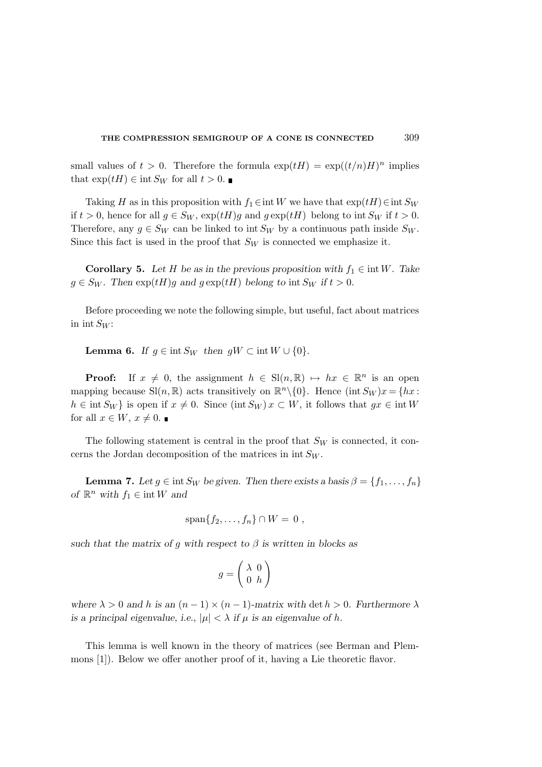small values of  $t > 0$ . Therefore the formula  $\exp(tH) = \exp((t/n)H)^n$  implies that  $\exp(tH) \in \text{int } S_W$  for all  $t > 0$ .

Taking H as in this proposition with  $f_1 \in \text{int } W$  we have that  $\exp(tH) \in \text{int } S_W$ if  $t > 0$ , hence for all  $g \in S_W$ ,  $\exp(tH)g$  and  $g \exp(tH)$  belong to int  $S_W$  if  $t > 0$ . Therefore, any  $g \in S_W$  can be linked to int  $S_W$  by a continuous path inside  $S_W$ . Since this fact is used in the proof that  $S_W$  is connected we emphasize it.

Corollary 5. Let H be as in the previous proposition with  $f_1 \in \text{int } W$ . Take  $g \in S_W$ . Then  $\exp(tH)g$  and  $g \exp(tH)$  belong to int  $S_W$  if  $t > 0$ .

Before proceeding we note the following simple, but useful, fact about matrices in int  $S_W$ :

**Lemma 6.** If  $g \in \text{int } S_W$  then  $gW \subset \text{int } W \cup \{0\}.$ 

**Proof:** If  $x \neq 0$ , the assignment  $h \in Sl(n, \mathbb{R}) \mapsto hx \in \mathbb{R}^n$  is an open mapping because  $\text{Sl}(n,\mathbb{R})$  acts transitively on  $\mathbb{R}^n\setminus\{0\}$ . Hence  $(\text{int } S_W) x = \{hx :$  $h \in \text{int } S_W$  is open if  $x \neq 0$ . Since (int  $S_W$ )  $x \subset W$ , it follows that  $gx \in \text{int } W$ for all  $x \in W$ ,  $x \neq 0$ .

The following statement is central in the proof that  $S_W$  is connected, it concerns the Jordan decomposition of the matrices in  $int S_W$ .

**Lemma 7.** Let  $g \in \text{int } S_W$  be given. Then there exists a basis  $\beta = \{f_1, \ldots, f_n\}$ of  $\mathbb{R}^n$  with  $f_1 \in \text{int } W$  and

$$
\mathrm{span}\{f_2,\ldots,f_n\}\cap W=0\;,
$$

such that the matrix of q with respect to  $\beta$  is written in blocks as

$$
g = \left(\begin{array}{cc} \lambda & 0 \\ 0 & h \end{array}\right)
$$

where  $\lambda > 0$  and h is an  $(n-1) \times (n-1)$ -matrix with det  $h > 0$ . Furthermore  $\lambda$ is a principal eigenvalue, i.e.,  $|\mu| < \lambda$  if  $\mu$  is an eigenvalue of h.

This lemma is well known in the theory of matrices (see Berman and Plemmons [1]). Below we offer another proof of it, having a Lie theoretic flavor.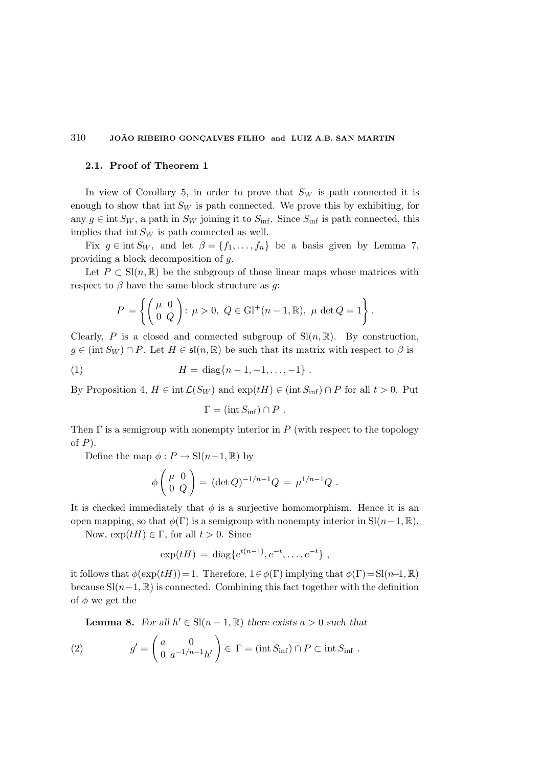### 2.1. Proof of Theorem 1

In view of Corollary 5, in order to prove that  $S_W$  is path connected it is enough to show that int  $S_W$  is path connected. We prove this by exhibiting, for any  $g \in \text{int } S_W$ , a path in  $S_W$  joining it to  $S_{\text{inf}}$ . Since  $S_{\text{inf}}$  is path connected, this implies that int  $S_W$  is path connected as well.

Fix  $g \in \text{int } S_W$ , and let  $\beta = \{f_1, \ldots, f_n\}$  be a basis given by Lemma 7, providing a block decomposition of g.

Let  $P \subset Sl(n,\mathbb{R})$  be the subgroup of those linear maps whose matrices with respect to  $\beta$  have the same block structure as q:

$$
P = \left\{ \begin{pmatrix} \mu & 0 \\ 0 & Q \end{pmatrix}: \mu > 0, \ Q \in \mathrm{Gl}^+(n-1,\mathbb{R}), \ \mu \det Q = 1 \right\}.
$$

Clearly, P is a closed and connected subgroup of  $\text{Sl}(n,\mathbb{R})$ . By construction,  $g \in (\text{int } S_W) \cap P$ . Let  $H \in \mathfrak{sl}(n, \mathbb{R})$  be such that its matrix with respect to  $\beta$  is

(1) 
$$
H = \text{diag}\{n-1, -1, \ldots, -1\}.
$$

By Proposition 4,  $H \in \text{int } \mathcal{L}(S_W)$  and  $\exp(tH) \in (\text{int } S_{\text{inf}}) \cap P$  for all  $t > 0$ . Put

$$
\Gamma = (\text{int } S_{\text{inf}}) \cap P .
$$

Then  $\Gamma$  is a semigroup with nonempty interior in P (with respect to the topology of  $P$ ).

Define the map  $\phi : P \to Sl(n-1, \mathbb{R})$  by

$$
\phi \begin{pmatrix} \mu & 0 \\ 0 & Q \end{pmatrix} = (\det Q)^{-1/n-1} Q = \mu^{1/n-1} Q .
$$

It is checked immediately that  $\phi$  is a surjective homomorphism. Hence it is an open mapping, so that  $\phi(\Gamma)$  is a semigroup with nonempty interior in Sl $(n-1, \mathbb{R})$ .

Now,  $\exp(tH) \in \Gamma$ , for all  $t > 0$ . Since

$$
\exp(tH) = \text{diag}\{e^{t(n-1)}, e^{-t}, \dots, e^{-t}\},
$$

it follows that  $\phi(\exp(tH))=1$ . Therefore,  $1 \in \phi(\Gamma)$  implying that  $\phi(\Gamma)=\text{Sl}(n-1,\mathbb{R})$ because  $\mathrm{Sl}(n-1,\mathbb{R})$  is connected. Combining this fact together with the definition of  $\phi$  we get the

**Lemma 8.** For all  $h' \in Sl(n-1, \mathbb{R})$  there exists  $a > 0$  such that

(2) 
$$
g' = \begin{pmatrix} a & 0 \\ 0 & a^{-1/n-1}h' \end{pmatrix} \in \Gamma = (\text{int } S_{\text{inf}}) \cap P \subset \text{int } S_{\text{inf}}.
$$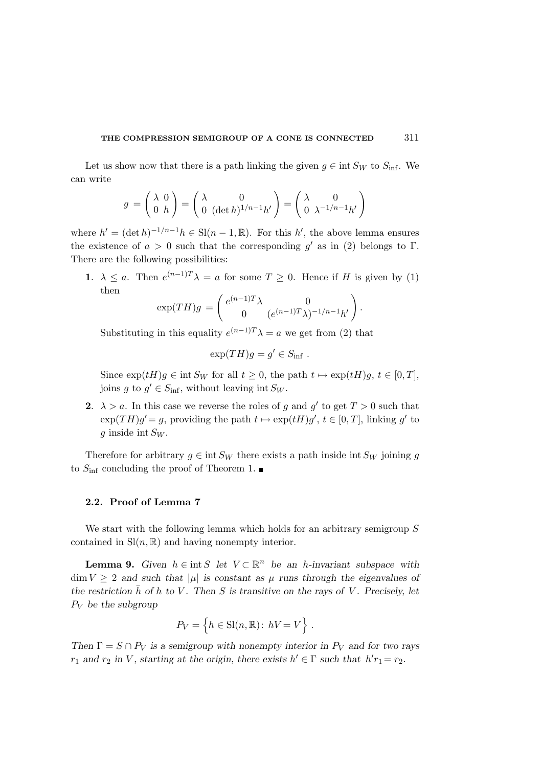Let us show now that there is a path linking the given  $g \in \text{int } S_W$  to  $S_{\text{inf}}$ . We can write

$$
g = \begin{pmatrix} \lambda & 0 \\ 0 & h \end{pmatrix} = \begin{pmatrix} \lambda & 0 \\ 0 & (\det h)^{1/n-1}h' \end{pmatrix} = \begin{pmatrix} \lambda & 0 \\ 0 & \lambda^{-1/n-1}h' \end{pmatrix}
$$

where  $h' = (\det h)^{-1/n-1}h \in Sl(n-1,\mathbb{R})$ . For this h', the above lemma ensures the existence of  $a > 0$  such that the corresponding  $g'$  as in (2) belongs to  $\Gamma$ . There are the following possibilities:

1.  $\lambda \leq a$ . Then  $e^{(n-1)T}\lambda = a$  for some  $T \geq 0$ . Hence if H is given by (1) then

$$
\exp(TH)g = \begin{pmatrix} e^{(n-1)T}\lambda & 0\\ 0 & (e^{(n-1)T}\lambda)^{-1/n-1}h' \end{pmatrix}.
$$

Substituting in this equality  $e^{(n-1)T}\lambda = a$  we get from (2) that

$$
\exp(TH)g = g' \in S_{\inf} .
$$

Since  $\exp(tH)g \in \text{int } S_W$  for all  $t \geq 0$ , the path  $t \mapsto \exp(tH)g$ ,  $t \in [0, T]$ , joins g to  $g' \in S_{\text{inf}}$ , without leaving int  $S_W$ .

**2.**  $\lambda > a$ . In this case we reverse the roles of g and g' to get  $T > 0$  such that  $\exp(TH)g' = g$ , providing the path  $t \mapsto \exp(tH)g'$ ,  $t \in [0, T]$ , linking g' to g inside int  $S_W$ .

Therefore for arbitrary  $g \in \text{int } S_W$  there exists a path inside int  $S_W$  joining g to  $S_{\text{inf}}$  concluding the proof of Theorem 1.

#### 2.2. Proof of Lemma 7

We start with the following lemma which holds for an arbitrary semigroup S contained in  $\mathrm{Sl}(n,\mathbb{R})$  and having nonempty interior.

**Lemma 9.** Given  $h \in \text{int } S$  let  $V \subset \mathbb{R}^n$  be an h-invariant subspace with  $\dim V > 2$  and such that  $|\mu|$  is constant as  $\mu$  runs through the eigenvalues of the restriction  $\bar{h}$  of h to V. Then S is transitive on the rays of V. Precisely, let  $P_V$  be the subgroup

$$
P_V = \left\{ h \in SI(n, \mathbb{R}) : hV = V \right\} .
$$

Then  $\Gamma = S \cap P_V$  is a semigroup with nonempty interior in  $P_V$  and for two rays  $r_1$  and  $r_2$  in V, starting at the origin, there exists  $h' \in \Gamma$  such that  $h'r_1 = r_2$ .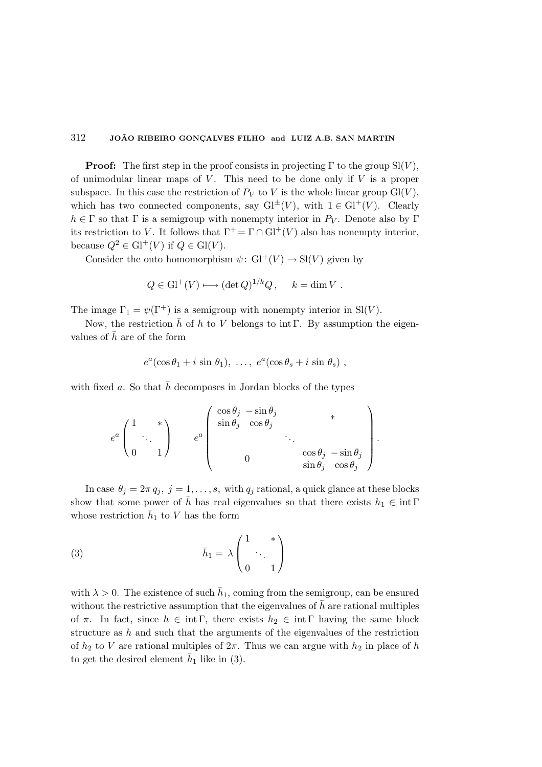**Proof:** The first step in the proof consists in projecting  $\Gamma$  to the group  $\text{Sl}(V)$ , of unimodular linear maps of  $V$ . This need to be done only if  $V$  is a proper subspace. In this case the restriction of  $P_V$  to V is the whole linear group  $Gl(V)$ , which has two connected components, say  $Gl^{\pm}(V)$ , with  $1 \in Gl^+(V)$ . Clearly  $h \in \Gamma$  so that  $\Gamma$  is a semigroup with nonempty interior in  $P_V$ . Denote also by  $\Gamma$ its restriction to V. It follows that  $\Gamma^+ = \Gamma \cap Gl^+(V)$  also has nonempty interior, because  $Q^2 \in Gl^+(V)$  if  $Q \in Gl(V)$ .

Consider the onto homomorphism  $\psi: Gl^+(V) \to Sl(V)$  given by

$$
Q \in Gl^+(V) \longrightarrow (\det Q)^{1/k} Q, \quad k = \dim V.
$$

The image  $\Gamma_1 = \psi(\Gamma^+)$  is a semigroup with nonempty interior in Sl(V).

Now, the restriction  $\bar{h}$  of h to V belongs to int Γ. By assumption the eigenvalues of  $\bar{h}$  are of the form

$$
e^a(\cos\theta_1+i\sin\theta_1),\ldots,e^a(\cos\theta_s+i\sin\theta_s)
$$
,

with fixed a. So that  $\bar{h}$  decomposes in Jordan blocks of the types

$$
e^{a} \begin{pmatrix} 1 & * \\ & \ddots & \\ 0 & 1 \end{pmatrix} \qquad e^{a} \begin{pmatrix} \cos \theta_{j} & -\sin \theta_{j} & * \\ & \sin \theta_{j} & \cos \theta_{j} & * \\ & & \ddots & \\ 0 & & & \cos \theta_{j} & -\sin \theta_{j} \\ & & & & \sin \theta_{j} & \cos \theta_{j} \end{pmatrix}.
$$

In case  $\theta_j = 2\pi q_j$ ,  $j = 1, \ldots, s$ , with  $q_j$  rational, a quick glance at these blocks show that some power of  $\bar{h}$  has real eigenvalues so that there exists  $h_1 \in \text{int } \Gamma$ whose restriction  $\bar{h}_1$  to V has the form

(3) 
$$
\bar{h}_1 = \lambda \begin{pmatrix} 1 & * \\ & \ddots & \\ 0 & 1 \end{pmatrix}
$$

with  $\lambda > 0$ . The existence of such  $\bar{h}_1$ , coming from the semigroup, can be ensured without the restrictive assumption that the eigenvalues of  $\bar{h}$  are rational multiples of  $\pi$ . In fact, since  $h \in \text{int } \Gamma$ , there exists  $h_2 \in \text{int } \Gamma$  having the same block structure as  $h$  and such that the arguments of the eigenvalues of the restriction of  $h_2$  to V are rational multiples of  $2\pi$ . Thus we can argue with  $h_2$  in place of h to get the desired element  $\bar{h}_1$  like in (3).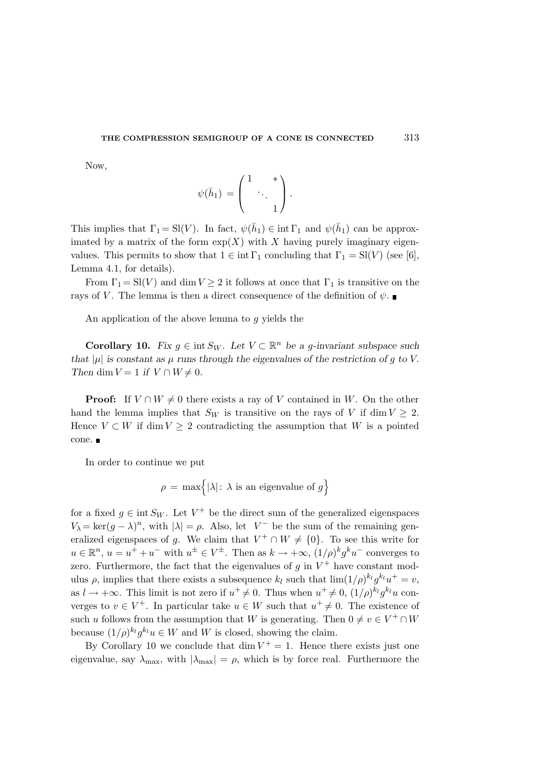Now,

$$
\psi(\bar{h}_1) = \begin{pmatrix} 1 & * \\ & \ddots & \\ & & 1 \end{pmatrix}.
$$

This implies that  $\Gamma_1 = SI(V)$ . In fact,  $\psi(\bar{h}_1) \in \text{int } \Gamma_1$  and  $\psi(\bar{h}_1)$  can be approximated by a matrix of the form  $\exp(X)$  with X having purely imaginary eigenvalues. This permits to show that  $1 \in \text{int } \Gamma_1$  concluding that  $\Gamma_1 = \text{SI}(V)$  (see [6], Lemma 4.1, for details).

From  $\Gamma_1 = \text{SI}(V)$  and dim  $V \geq 2$  it follows at once that  $\Gamma_1$  is transitive on the rays of V. The lemma is then a direct consequence of the definition of  $\psi$ .

An application of the above lemma to g yields the

**Corollary 10.** Fix  $g \in \text{int } S_W$ . Let  $V \subset \mathbb{R}^n$  be a g-invariant subspace such that  $|\mu|$  is constant as  $\mu$  runs through the eigenvalues of the restriction of g to V. Then dim  $V = 1$  if  $V \cap W \neq 0$ .

**Proof:** If  $V \cap W \neq 0$  there exists a ray of V contained in W. On the other hand the lemma implies that  $S_W$  is transitive on the rays of V if dim  $V \geq 2$ . Hence  $V \subset W$  if dim  $V \geq 2$  contradicting the assumption that W is a pointed cone.

In order to continue we put

$$
\rho = \max \Biggl\{ |\lambda| \colon \lambda \text{ is an eigenvalue of } g \Biggr\}
$$

for a fixed  $g \in \text{int } S_W$ . Let  $V^+$  be the direct sum of the generalized eigenspaces  $V_{\lambda} = \ker(g - \lambda)^n$ , with  $|\lambda| = \rho$ . Also, let  $V^-$  be the sum of the remaining generalized eigenspaces of g. We claim that  $V^+ \cap W \neq \{0\}$ . To see this write for  $u \in \mathbb{R}^n$ ,  $u = u^+ + u^-$  with  $u^{\pm} \in V^{\pm}$ . Then as  $k \to +\infty$ ,  $(1/\rho)^k g^k u^-$  converges to zero. Furthermore, the fact that the eigenvalues of  $g$  in  $V^+$  have constant modulus  $\rho$ , implies that there exists a subsequence  $k_l$  such that  $\lim_{l} (1/\rho)^{k_l} g^{k_l} u^+ = v$ , as  $l \to +\infty$ . This limit is not zero if  $u^+ \neq 0$ . Thus when  $u^+ \neq 0$ ,  $(1/\rho)^{k_l} g^{k_l} u$  converges to  $v \in V^+$ . In particular take  $u \in W$  such that  $u^+ \neq 0$ . The existence of such u follows from the assumption that W is generating. Then  $0 \neq v \in V^+ \cap W$ because  $(1/\rho)^{k_l} g^{k_l} u \in W$  and W is closed, showing the claim.

By Corollary 10 we conclude that  $\dim V^+=1$ . Hence there exists just one eigenvalue, say  $\lambda_{\text{max}}$ , with  $|\lambda_{\text{max}}| = \rho$ , which is by force real. Furthermore the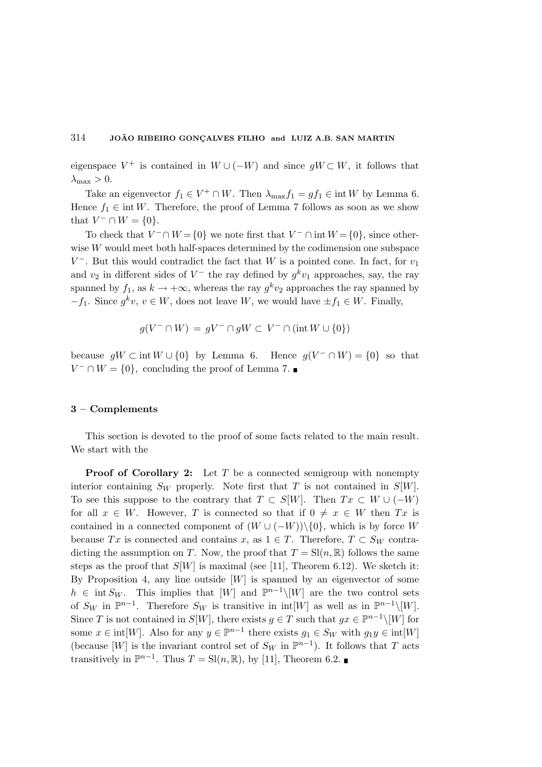eigenspace  $V^+$  is contained in  $W \cup (-W)$  and since  $gW \subset W$ , it follows that  $\lambda_{\max} > 0$ .

Take an eigenvector  $f_1 \in V^+ \cap W$ . Then  $\lambda_{\max} f_1 = gf_1 \in \text{int } W$  by Lemma 6. Hence  $f_1 \in \text{int } W$ . Therefore, the proof of Lemma 7 follows as soon as we show that  $V^- \cap W = \{0\}.$ 

To check that  $V^- \cap W = \{0\}$  we note first that  $V^- \cap \text{int } W = \{0\}$ , since otherwise W would meet both half-spaces determined by the codimension one subspace  $V^-$ . But this would contradict the fact that W is a pointed cone. In fact, for  $v_1$ and  $v_2$  in different sides of  $V^-$  the ray defined by  $g^k v_1$  approaches, say, the ray spanned by  $f_1$ , as  $k \to +\infty$ , whereas the ray  $g^k v_2$  approaches the ray spanned by  $-f_1$ . Since  $g^k v, v \in W$ , does not leave W, we would have  $\pm f_1 \in W$ . Finally,

$$
g(V^- \cap W) = gV^- \cap gW \subset V^- \cap (\text{int } W \cup \{0\})
$$

because  $gW \subset \text{int } W \cup \{0\}$  by Lemma 6. Hence  $g(V \cap W) = \{0\}$  so that  $V^- \cap W = \{0\}$ , concluding the proof of Lemma 7.

#### 3 – Complements

This section is devoted to the proof of some facts related to the main result. We start with the

**Proof of Corollary 2:** Let  $T$  be a connected semigroup with nonempty interior containing  $S_W$  properly. Note first that T is not contained in  $S[W]$ . To see this suppose to the contrary that  $T \subset S[W]$ . Then  $Tx \subset W \cup (-W)$ for all  $x \in W$ . However, T is connected so that if  $0 \neq x \in W$  then  $Tx$  is contained in a connected component of  $(W \cup (-W))\setminus\{0\}$ , which is by force W because Tx is connected and contains x, as  $1 \in T$ . Therefore,  $T \subset S_W$  contradicting the assumption on T. Now, the proof that  $T = Sl(n, \mathbb{R})$  follows the same steps as the proof that  $S[W]$  is maximal (see [11], Theorem 6.12). We sketch it: By Proposition 4, any line outside  $[W]$  is spanned by an eigenvector of some  $h \in \text{int } S_W$ . This implies that  $[W]$  and  $\mathbb{P}^{n-1}\setminus[W]$  are the two control sets of  $S_W$  in  $\mathbb{P}^{n-1}$ . Therefore  $S_W$  is transitive in  $\text{int}[W]$  as well as in  $\mathbb{P}^{n-1}\setminus[W]$ . Since T is not contained in  $S[W]$ , there exists  $g \in T$  such that  $gx \in \mathbb{P}^{n-1} \setminus [W]$  for some  $x \in \text{int}[W]$ . Also for any  $y \in \mathbb{P}^{n-1}$  there exists  $g_1 \in S_W$  with  $g_1y \in \text{int}[W]$ (because [W] is the invariant control set of  $S_W$  in  $\mathbb{P}^{n-1}$ ). It follows that T acts transitively in  $\mathbb{P}^{n-1}$ . Thus  $T = \text{Sl}(n, \mathbb{R})$ , by [11], Theorem 6.2.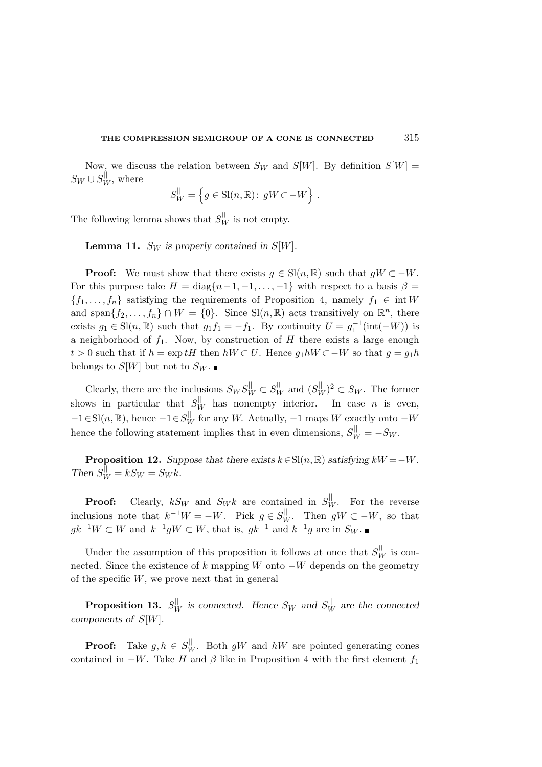Now, we discuss the relation between  $S_W$  and  $S[W]$ . By definition  $S[W]$  =  $S_W \cup S_W^{\parallel}$ , where

$$
S_W^{\parallel} = \left\{ g \in \text{Sl}(n, \mathbb{R}) : gW \subset -W \right\} .
$$

The following lemma shows that  $S_W^{\parallel}$  is not empty.

**Lemma 11.** S<sub>W</sub> is properly contained in S[W].

**Proof:** We must show that there exists  $g \in Sl(n, \mathbb{R})$  such that  $gW \subset -W$ . For this purpose take  $H = diag\{n-1, -1, \ldots, -1\}$  with respect to a basis  $\beta =$  ${f_1, \ldots, f_n}$  satisfying the requirements of Proposition 4, namely  $f_1 \in \text{int } W$ and span $\{f_2,\ldots,f_n\} \cap W = \{0\}$ . Since  $\text{Sl}(n,\mathbb{R})$  acts transitively on  $\mathbb{R}^n$ , there exists  $g_1 \in \mathrm{Sl}(n,\mathbb{R})$  such that  $g_1f_1 = -f_1$ . By continuity  $U = g_1^{-1}(\mathrm{int}(-W))$  is a neighborhood of  $f_1$ . Now, by construction of H there exists a large enough  $t > 0$  such that if  $h = \exp tH$  then  $hW \subset U$ . Hence  $g_1 hW \subset -W$  so that  $g = g_1 h$ belongs to  $S[W]$  but not to  $S_W$ .

Clearly, there are the inclusions  $S_W S_W^{\parallel} \subset S_W^{\parallel}$  and  $(S_W^{\parallel})^2 \subset S_W$ . The former shows in particular that  $S_W^{\parallel}$  has nonempty interior. In case *n* is even,  $-1 \in Sl(n, \mathbb{R})$ , hence  $-1 \in S_W^{\parallel}$  for any W. Actually,  $-1$  maps W exactly onto  $-W$ hence the following statement implies that in even dimensions,  $S_{W}^{\parallel} = -S_{W}$ .

**Proposition 12.** Suppose that there exists  $k \in Sl(n, \mathbb{R})$  satisfying  $kW = -W$ . Then  $S_W^{\parallel} = kS_W = S_W k$ .

**Proof:** Clearly,  $kS_W$  and  $S_W k$  are contained in  $S_W^{\parallel}$ . For the reverse inclusions note that  $k^{-1}W = -W$ . Pick  $g \in S_W^{\parallel}$ . Then  $gW \subset -W$ , so that  $gk^{-1}W \subset W$  and  $k^{-1}gW \subset W$ , that is,  $gk^{-1}$  and  $k^{-1}g$  are in  $S_W$ .

Under the assumption of this proposition it follows at once that  $S_W^{\parallel}$  is connected. Since the existence of k mapping W onto  $-W$  depends on the geometry of the specific  $W$ , we prove next that in general

**Proposition 13.**  $S_W^{\parallel}$  is connected. Hence  $S_W$  and  $S_W^{\parallel}$  are the connected components of S[W].

**Proof:** Take  $g, h \in S_W^{\parallel}$ . Both  $gW$  and  $hW$  are pointed generating cones contained in  $-W$ . Take H and  $\beta$  like in Proposition 4 with the first element  $f_1$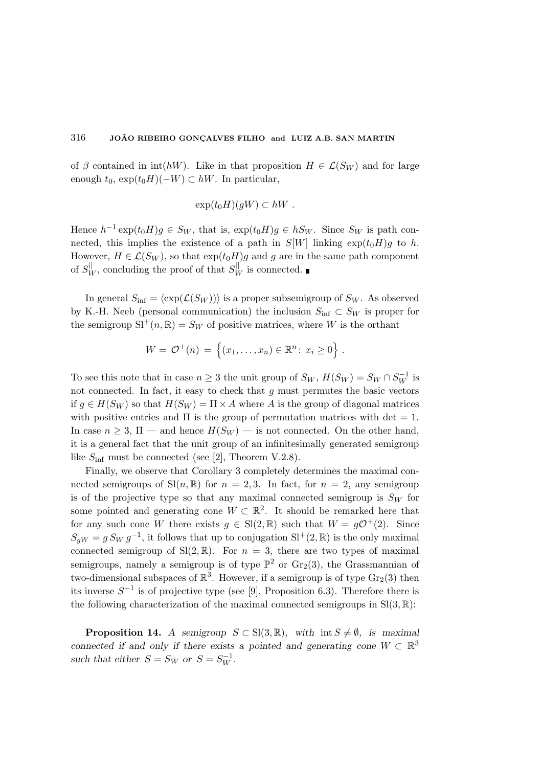of β contained in int(hW). Like in that proposition  $H \in \mathcal{L}(S_W)$  and for large enough  $t_0$ ,  $\exp(t_0H)(-W) \subset hW$ . In particular,

$$
\exp(t_0 H)(gW) \subset hW.
$$

Hence  $h^{-1} \exp(t_0 H)g \in S_W$ , that is,  $\exp(t_0 H)g \in hS_W$ . Since  $S_W$  is path connected, this implies the existence of a path in  $S[W]$  linking  $\exp(t_0H)g$  to h. However,  $H \in \mathcal{L}(S_W)$ , so that  $\exp(t_0 H)g$  and g are in the same path component of  $S_W^{\parallel}$ , concluding the proof of that  $S_W^{\parallel}$  is connected.

In general  $S_{\text{inf}} = \langle \exp(\mathcal{L}(S_W)) \rangle$  is a proper subsemigroup of  $S_W$ . As observed by K.-H. Neeb (personal communication) the inclusion  $S_{\text{inf}} \subset S_W$  is proper for the semigroup  $\mathrm{SI}^+(n,\mathbb{R})=S_W$  of positive matrices, where W is the orthant

$$
W = \mathcal{O}^+(n) = \{(x_1, ..., x_n) \in \mathbb{R}^n : x_i \ge 0\}.
$$

To see this note that in case  $n \geq 3$  the unit group of  $S_W$ ,  $H(S_W) = S_W \cap S_W^{-1}$  is not connected. In fact, it easy to check that  $g$  must permutes the basic vectors if  $g \in H(S_W)$  so that  $H(S_W) = \Pi \times A$  where A is the group of diagonal matrices with positive entries and  $\Pi$  is the group of permutation matrices with det  $= 1$ . In case  $n \geq 3$ ,  $\Pi$  — and hence  $H(S_W)$  — is not connected. On the other hand, it is a general fact that the unit group of an infinitesimally generated semigroup like  $S_{\text{inf}}$  must be connected (see [2], Theorem V.2.8).

Finally, we observe that Corollary 3 completely determines the maximal connected semigroups of  $\text{Sl}(n,\mathbb{R})$  for  $n=2,3$ . In fact, for  $n=2$ , any semigroup is of the projective type so that any maximal connected semigroup is  $S_W$  for some pointed and generating cone  $W \subset \mathbb{R}^2$ . It should be remarked here that for any such cone W there exists  $g \in Sl(2, \mathbb{R})$  such that  $W = g\mathcal{O}^+(2)$ . Since  $S_{gW} = g S_W g^{-1}$ , it follows that up to conjugation  $\mathrm{SI}^+(2,\mathbb{R})$  is the only maximal connected semigroup of  $Sl(2, \mathbb{R})$ . For  $n = 3$ , there are two types of maximal semigroups, namely a semigroup is of type  $\mathbb{P}^2$  or  $\text{Gr}_2(3)$ , the Grassmannian of two-dimensional subspaces of  $\mathbb{R}^3$ . However, if a semigroup is of type  $\text{Gr}_2(3)$  then its inverse  $S^{-1}$  is of projective type (see [9], Proposition 6.3). Therefore there is the following characterization of the maximal connected semigroups in  $SI(3, \mathbb{R})$ :

**Proposition 14.** A semigroup  $S \subset Sl(3, \mathbb{R})$ , with int  $S \neq \emptyset$ , is maximal connected if and only if there exists a pointed and generating cone  $W \subset \mathbb{R}^3$ such that either  $S = S_W$  or  $S = S_W^{-1}$ .